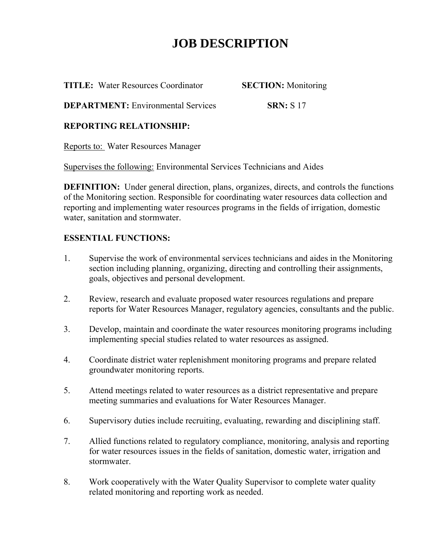## **JOB DESCRIPTION**

**TITLE:** Water Resources Coordinator **SECTION:** Monitoring

**DEPARTMENT:** Environmental Services **SRN:** S 17

### **REPORTING RELATIONSHIP:**

Reports to: Water Resources Manager

Supervises the following: Environmental Services Technicians and Aides

**DEFINITION:** Under general direction, plans, organizes, directs, and controls the functions of the Monitoring section. Responsible for coordinating water resources data collection and reporting and implementing water resources programs in the fields of irrigation, domestic water, sanitation and stormwater.

### **ESSENTIAL FUNCTIONS:**

- 1. Supervise the work of environmental services technicians and aides in the Monitoring section including planning, organizing, directing and controlling their assignments, goals, objectives and personal development.
- 2. Review, research and evaluate proposed water resources regulations and prepare reports for Water Resources Manager, regulatory agencies, consultants and the public.
- 3. Develop, maintain and coordinate the water resources monitoring programs including implementing special studies related to water resources as assigned.
- 4. Coordinate district water replenishment monitoring programs and prepare related groundwater monitoring reports.
- 5. Attend meetings related to water resources as a district representative and prepare meeting summaries and evaluations for Water Resources Manager.
- 6. Supervisory duties include recruiting, evaluating, rewarding and disciplining staff.
- 7. Allied functions related to regulatory compliance, monitoring, analysis and reporting for water resources issues in the fields of sanitation, domestic water, irrigation and stormwater.
- 8. Work cooperatively with the Water Quality Supervisor to complete water quality related monitoring and reporting work as needed.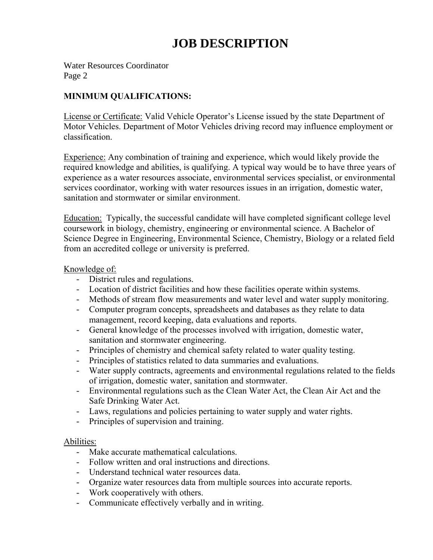## **JOB DESCRIPTION**

Water Resources Coordinator Page 2

### **MINIMUM QUALIFICATIONS:**

License or Certificate: Valid Vehicle Operator's License issued by the state Department of Motor Vehicles. Department of Motor Vehicles driving record may influence employment or classification.

Experience: Any combination of training and experience, which would likely provide the required knowledge and abilities, is qualifying. A typical way would be to have three years of experience as a water resources associate, environmental services specialist, or environmental services coordinator, working with water resources issues in an irrigation, domestic water, sanitation and stormwater or similar environment.

Education: Typically, the successful candidate will have completed significant college level coursework in biology, chemistry, engineering or environmental science. A Bachelor of Science Degree in Engineering, Environmental Science, Chemistry, Biology or a related field from an accredited college or university is preferred.

#### Knowledge of:

- District rules and regulations.
- Location of district facilities and how these facilities operate within systems.
- Methods of stream flow measurements and water level and water supply monitoring.
- Computer program concepts, spreadsheets and databases as they relate to data management, record keeping, data evaluations and reports.
- General knowledge of the processes involved with irrigation, domestic water, sanitation and stormwater engineering.
- Principles of chemistry and chemical safety related to water quality testing.
- Principles of statistics related to data summaries and evaluations.
- Water supply contracts, agreements and environmental regulations related to the fields of irrigation, domestic water, sanitation and stormwater.
- Environmental regulations such as the Clean Water Act, the Clean Air Act and the Safe Drinking Water Act.
- Laws, regulations and policies pertaining to water supply and water rights.
- Principles of supervision and training.

#### Abilities:

- Make accurate mathematical calculations.
- Follow written and oral instructions and directions.
- Understand technical water resources data.
- Organize water resources data from multiple sources into accurate reports.
- Work cooperatively with others.
- Communicate effectively verbally and in writing.